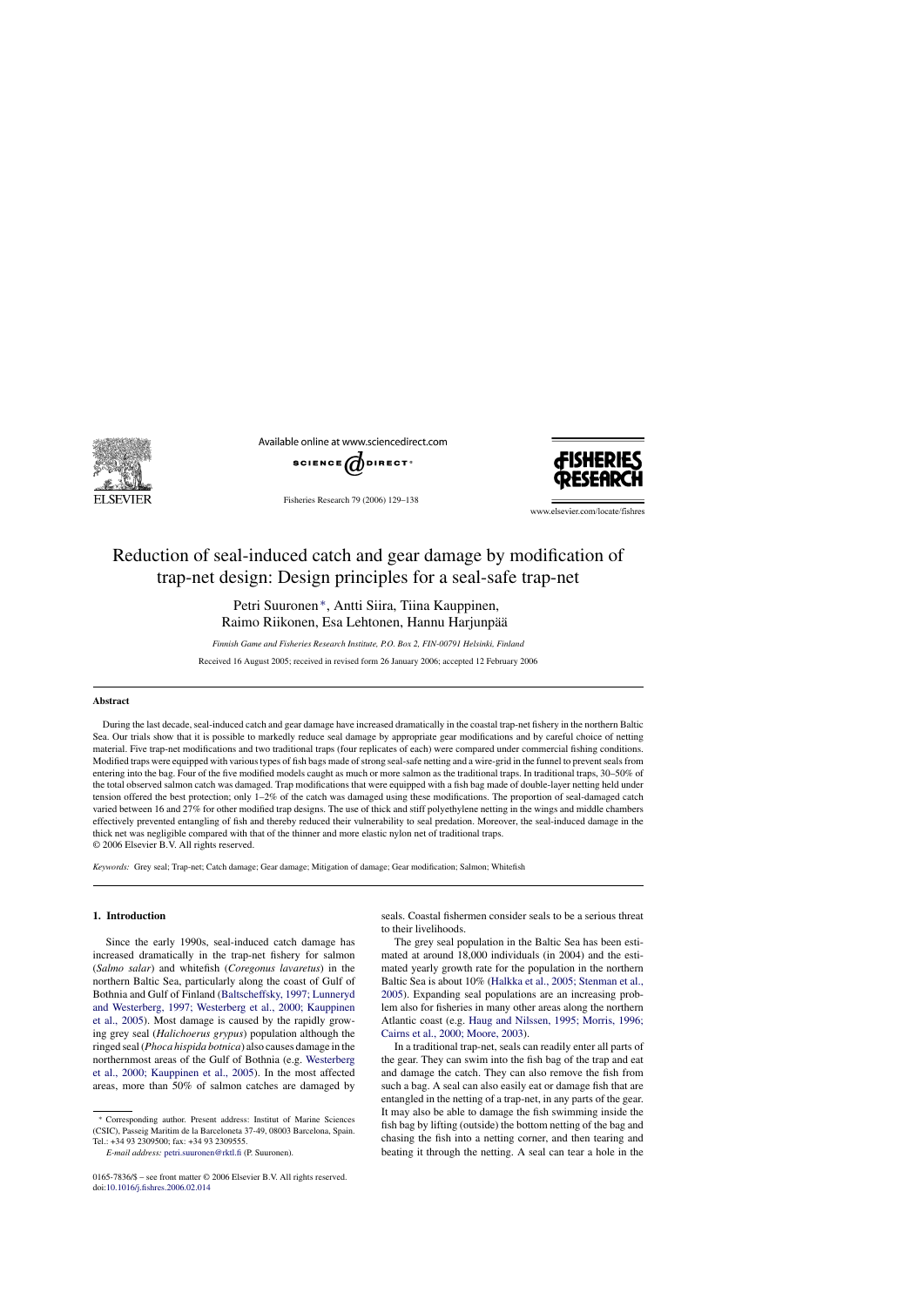

Available online at www.sciencedirect.com



Fisheries Research 79 (2006) 129–138



www.elsevier.com/locate/fishres

# Reduction of seal-induced catch and gear damage by modification of trap-net design: Design principles for a seal-safe trap-net

Petri Suuronen ∗, Antti Siira, Tiina Kauppinen, Raimo Riikonen, Esa Lehtonen, Hannu Harjunpää

*Finnish Game and Fisheries Research Institute, P.O. Box 2, FIN-00791 Helsinki, Finland* Received 16 August 2005; received in revised form 26 January 2006; accepted 12 February 2006

# **Abstract**

During the last decade, seal-induced catch and gear damage have increased dramatically in the coastal trap-net fishery in the northern Baltic Sea. Our trials show that it is possible to markedly reduce seal damage by appropriate gear modifications and by careful choice of netting material. Five trap-net modifications and two traditional traps (four replicates of each) were compared under commercial fishing conditions. Modified traps were equipped with various types of fish bags made of strong seal-safe netting and a wire-grid in the funnel to prevent seals from entering into the bag. Four of the five modified models caught as much or more salmon as the traditional traps. In traditional traps, 30–50% of the total observed salmon catch was damaged. Trap modifications that were equipped with a fish bag made of double-layer netting held under tension offered the best protection; only 1–2% of the catch was damaged using these modifications. The proportion of seal-damaged catch varied between 16 and 27% for other modified trap designs. The use of thick and stiff polyethylene netting in the wings and middle chambers effectively prevented entangling of fish and thereby reduced their vulnerability to seal predation. Moreover, the seal-induced damage in the thick net was negligible compared with that of the thinner and more elastic nylon net of traditional traps. © 2006 Elsevier B.V. All rights reserved.

*Keywords:* Grey seal; Trap-net; Catch damage; Gear damage; Mitigation of damage; Gear modification; Salmon; Whitefish

# **1. Introduction**

Since the early 1990s, seal-induced catch damage has increased dramatically in the trap-net fishery for salmon (*Salmo salar*) and whitefish (*Coregonus lavaretus*) in the northern Baltic Sea, particularly along the coast of Gulf of Bothnia and Gulf of Finland ([Baltscheffsky, 1997; Lunneryd](#page-9-0) [and Westerberg, 1997; Westerberg et al., 2000; Kauppinen](#page-9-0) [et al., 2005\).](#page-9-0) Most damage is caused by the rapidly growing grey seal (*Halichoerus grypus*) population although the ringed seal (*Phoca hispida botnica*) also causes damage in the northernmost areas of the Gulf of Bothnia (e.g. [Westerberg](#page-9-0) [et al., 2000; Kauppinen et al., 2005\).](#page-9-0) In the most affected areas, more than 50% of salmon catches are damaged by

seals. Coastal fishermen consider seals to be a serious threat to their livelihoods.

The grey seal population in the Baltic Sea has been estimated at around 18,000 individuals (in 2004) and the estimated yearly growth rate for the population in the northern Baltic Sea is about 10% ([Halkka et al., 2005; Stenman et al.,](#page-9-0) [2005\).](#page-9-0) Expanding seal populations are an increasing problem also for fisheries in many other areas along the northern Atlantic coast (e.g. [Haug and Nilssen, 1995; Morris, 1996;](#page-9-0) [Cairns et al., 2000; Moore, 2003\).](#page-9-0)

In a traditional trap-net, seals can readily enter all parts of the gear. They can swim into the fish bag of the trap and eat and damage the catch. They can also remove the fish from such a bag. A seal can also easily eat or damage fish that are entangled in the netting of a trap-net, in any parts of the gear. It may also be able to damage the fish swimming inside the fish bag by lifting (outside) the bottom netting of the bag and chasing the fish into a netting corner, and then tearing and beating it through the netting. A seal can tear a hole in the

<sup>∗</sup> Corresponding author. Present address: Institut of Marine Sciences (CSIC), Passeig Maritim de la Barceloneta 37-49, 08003 Barcelona, Spain. Tel.: +34 93 2309500; fax: +34 93 2309555.

*E-mail address:* [petri.suuronen@rktl.fi](mailto:petri.suuronen@rktl.fi) (P. Suuronen).

<sup>0165-7836/\$ –</sup> see front matter © 2006 Elsevier B.V. All rights reserved. doi[:10.1016/j.fishres.2006.02.014](dx.doi.org/10.1016/j.fishres.2006.02.014)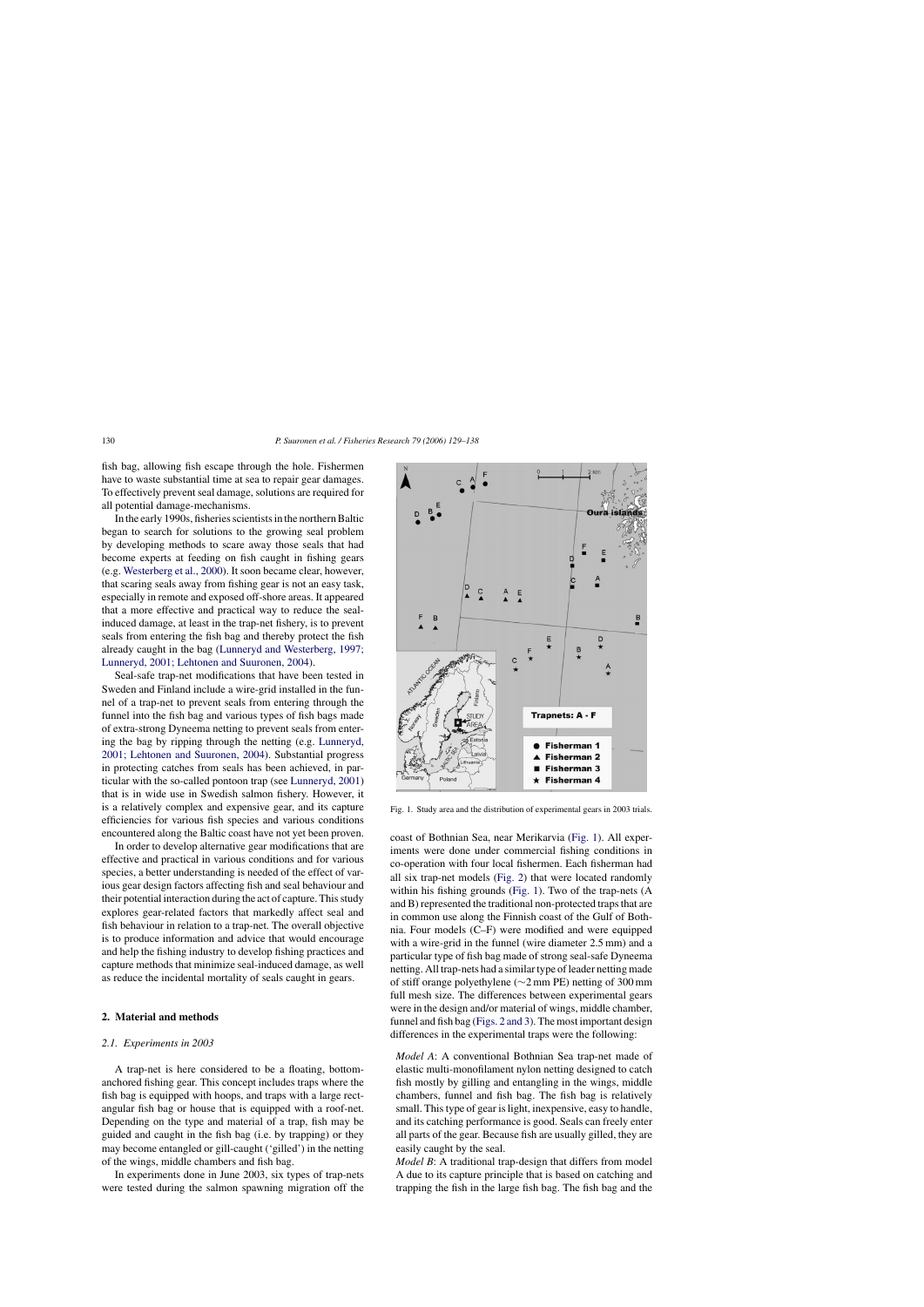fish bag, allowing fish escape through the hole. Fishermen have to waste substantial time at sea to repair gear damages. To effectively prevent seal damage, solutions are required for all potential damage-mechanisms.

In the early 1990s, fisheries scientists in the northern Baltic began to search for solutions to the growing seal problem by developing methods to scare away those seals that had become experts at feeding on fish caught in fishing gears (e.g. [Westerberg et al., 2000\).](#page-9-0) It soon became clear, however, that scaring seals away from fishing gear is not an easy task, especially in remote and exposed off-shore areas. It appeared that a more effective and practical way to reduce the sealinduced damage, at least in the trap-net fishery, is to prevent seals from entering the fish bag and thereby protect the fish already caught in the bag [\(Lunneryd and Westerberg, 1997;](#page-9-0) [Lunneryd, 2001; Lehtonen and Suuronen, 2004\).](#page-9-0)

Seal-safe trap-net modifications that have been tested in Sweden and Finland include a wire-grid installed in the funnel of a trap-net to prevent seals from entering through the funnel into the fish bag and various types of fish bags made of extra-strong Dyneema netting to prevent seals from entering the bag by ripping through the netting (e.g. [Lunneryd,](#page-9-0) [2001; Lehtonen and Suuronen, 2004\).](#page-9-0) Substantial progress in protecting catches from seals has been achieved, in particular with the so-called pontoon trap (see [Lunneryd, 2001\)](#page-9-0) that is in wide use in Swedish salmon fishery. However, it is a relatively complex and expensive gear, and its capture efficiencies for various fish species and various conditions encountered along the Baltic coast have not yet been proven.

In order to develop alternative gear modifications that are effective and practical in various conditions and for various species, a better understanding is needed of the effect of various gear design factors affecting fish and seal behaviour and their potential interaction during the act of capture. This study explores gear-related factors that markedly affect seal and fish behaviour in relation to a trap-net. The overall objective is to produce information and advice that would encourage and help the fishing industry to develop fishing practices and capture methods that minimize seal-induced damage, as well as reduce the incidental mortality of seals caught in gears.

# **2. Material and methods**

# *2.1. Experiments in 2003*

A trap-net is here considered to be a floating, bottomanchored fishing gear. This concept includes traps where the fish bag is equipped with hoops, and traps with a large rectangular fish bag or house that is equipped with a roof-net. Depending on the type and material of a trap, fish may be guided and caught in the fish bag (i.e. by trapping) or they may become entangled or gill-caught ('gilled') in the netting of the wings, middle chambers and fish bag.

In experiments done in June 2003, six types of trap-nets were tested during the salmon spawning migration off the



Fig. 1. Study area and the distribution of experimental gears in 2003 trials.

coast of Bothnian Sea, near Merikarvia (Fig. 1). All experiments were done under commercial fishing conditions in co-operation with four local fishermen. Each fisherman had all six trap-net models [\(Fig. 2\)](#page-2-0) that were located randomly within his fishing grounds (Fig. 1). Two of the trap-nets (A and B) represented the traditional non-protected traps that are in common use along the Finnish coast of the Gulf of Bothnia. Four models (C–F) were modified and were equipped with a wire-grid in the funnel (wire diameter 2.5 mm) and a particular type of fish bag made of strong seal-safe Dyneema netting. All trap-nets had a similar type of leader netting made of stiff orange polyethylene (∼2 mm PE) netting of 300 mm full mesh size. The differences between experimental gears were in the design and/or material of wings, middle chamber, funnel and fish bag [\(Figs. 2 and 3\). T](#page-2-0)he most important design differences in the experimental traps were the following:

*Model A*: A conventional Bothnian Sea trap-net made of elastic multi-monofilament nylon netting designed to catch fish mostly by gilling and entangling in the wings, middle chambers, funnel and fish bag. The fish bag is relatively small. This type of gear is light, inexpensive, easy to handle, and its catching performance is good. Seals can freely enter all parts of the gear. Because fish are usually gilled, they are easily caught by the seal.

*Model B*: A traditional trap-design that differs from model A due to its capture principle that is based on catching and trapping the fish in the large fish bag. The fish bag and the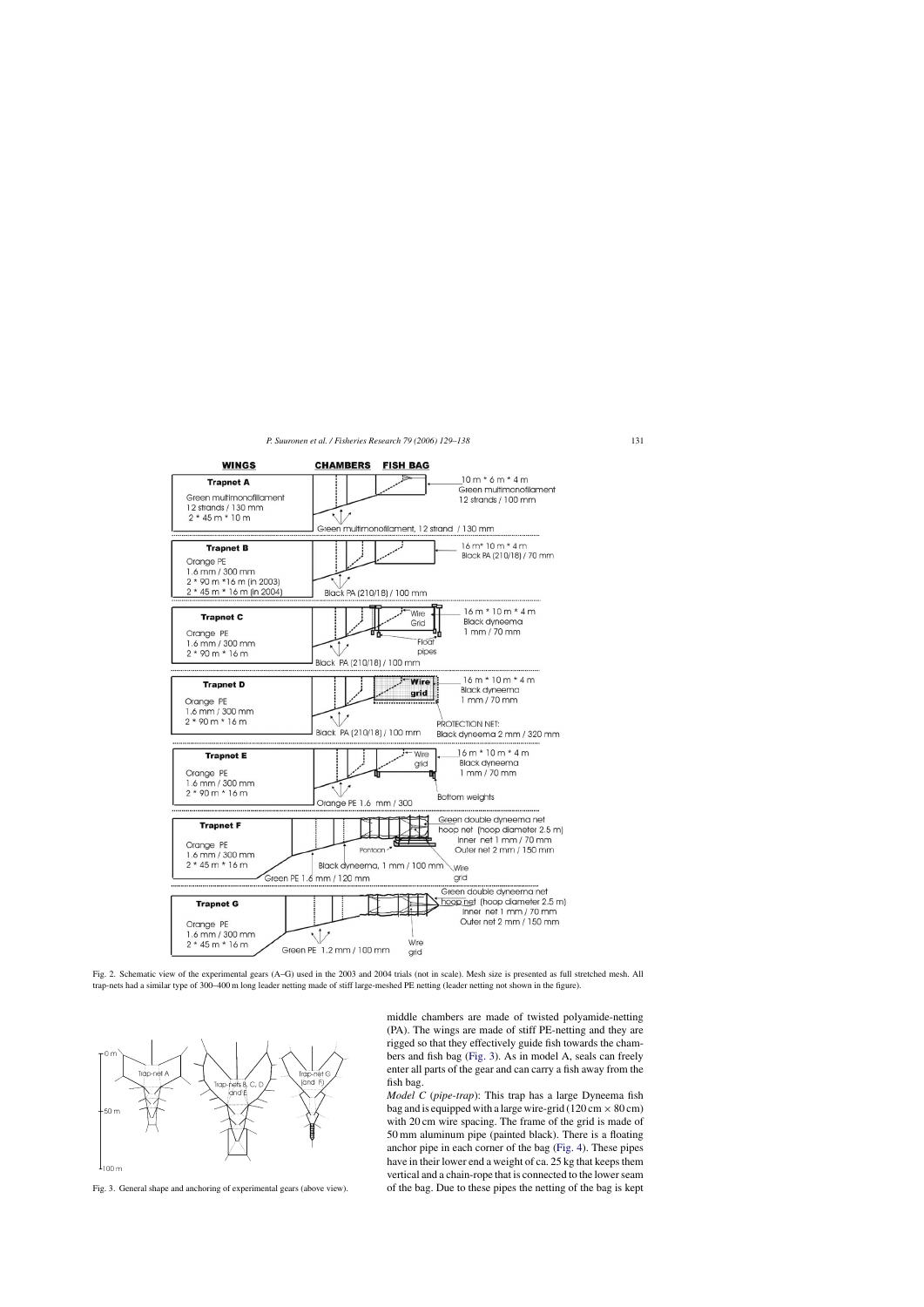<span id="page-2-0"></span>

Fig. 2. Schematic view of the experimental gears (A–G) used in the 2003 and 2004 trials (not in scale). Mesh size is presented as full stretched mesh. All trap-nets had a similar type of 300–400 m long leader netting made of stiff large-meshed PE netting (leader netting not shown in the figure).



Fig. 3. General shape and anchoring of experimental gears (above view).

middle chambers are made of twisted polyamide-netting (PA). The wings are made of stiff PE-netting and they are rigged so that they effectively guide fish towards the chambers and fish bag (Fig. 3). As in model A, seals can freely enter all parts of the gear and can carry a fish away from the fish bag.

*Model C* (*pipe-trap*): This trap has a large Dyneema fish bag and is equipped with a large wire-grid (120 cm  $\times$  80 cm) with 20 cm wire spacing. The frame of the grid is made of 50 mm aluminum pipe (painted black). There is a floating anchor pipe in each corner of the bag ([Fig. 4\).](#page-3-0) These pipes have in their lower end a weight of ca. 25 kg that keeps them vertical and a chain-rope that is connected to the lower seam of the bag. Due to these pipes the netting of the bag is kept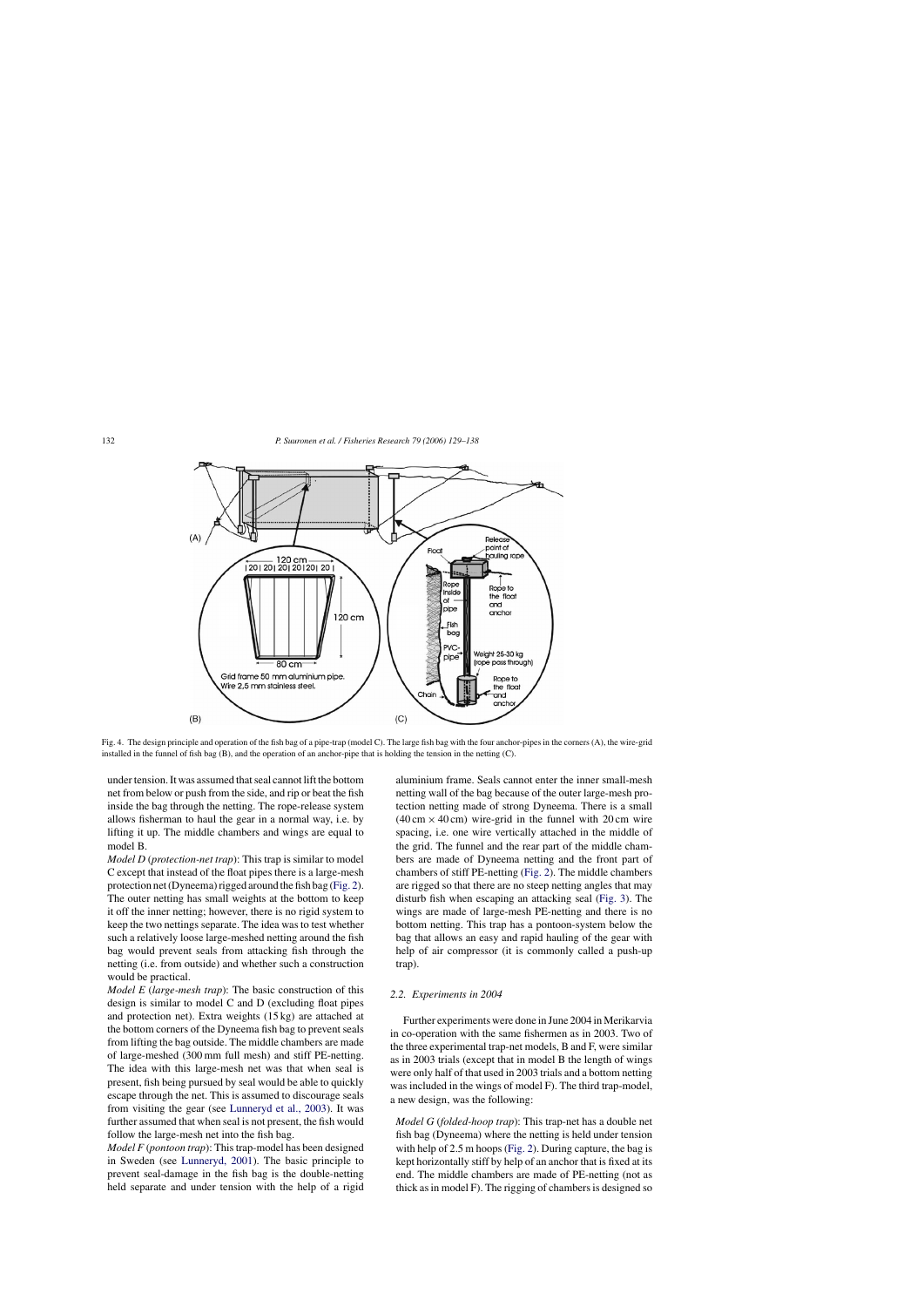<span id="page-3-0"></span>

Fig. 4. The design principle and operation of the fish bag of a pipe-trap (model C). The large fish bag with the four anchor-pipes in the corners (A), the wire-grid installed in the funnel of fish bag (B), and the operation of an anchor-pipe that is holding the tension in the netting (C).

under tension. It was assumed that seal cannot lift the bottom net from below or push from the side, and rip or beat the fish inside the bag through the netting. The rope-release system allows fisherman to haul the gear in a normal way, i.e. by lifting it up. The middle chambers and wings are equal to model B.

*Model D* (*protection-net trap*): This trap is similar to model C except that instead of the float pipes there is a large-mesh protection net (Dyneema) rigged around the fish bag ([Fig. 2\).](#page-2-0) The outer netting has small weights at the bottom to keep it off the inner netting; however, there is no rigid system to keep the two nettings separate. The idea was to test whether such a relatively loose large-meshed netting around the fish bag would prevent seals from attacking fish through the netting (i.e. from outside) and whether such a construction would be practical.

*Model E* (*large-mesh trap*): The basic construction of this design is similar to model C and D (excluding float pipes and protection net). Extra weights (15 kg) are attached at the bottom corners of the Dyneema fish bag to prevent seals from lifting the bag outside. The middle chambers are made of large-meshed (300 mm full mesh) and stiff PE-netting. The idea with this large-mesh net was that when seal is present, fish being pursued by seal would be able to quickly escape through the net. This is assumed to discourage seals from visiting the gear (see [Lunneryd et al., 2003\).](#page-9-0) It was further assumed that when seal is not present, the fish would follow the large-mesh net into the fish bag.

*Model F* (*pontoon trap*): This trap-model has been designed in Sweden (see [Lunneryd, 2001\).](#page-9-0) The basic principle to prevent seal-damage in the fish bag is the double-netting held separate and under tension with the help of a rigid

aluminium frame. Seals cannot enter the inner small-mesh netting wall of the bag because of the outer large-mesh protection netting made of strong Dyneema. There is a small  $(40 \text{ cm} \times 40 \text{ cm})$  wire-grid in the funnel with 20 cm wire spacing, i.e. one wire vertically attached in the middle of the grid. The funnel and the rear part of the middle chambers are made of Dyneema netting and the front part of chambers of stiff PE-netting [\(Fig. 2\).](#page-2-0) The middle chambers are rigged so that there are no steep netting angles that may disturb fish when escaping an attacking seal [\(Fig. 3\).](#page-2-0) The wings are made of large-mesh PE-netting and there is no bottom netting. This trap has a pontoon-system below the bag that allows an easy and rapid hauling of the gear with help of air compressor (it is commonly called a push-up trap).

#### *2.2. Experiments in 2004*

Further experiments were done in June 2004 in Merikarvia in co-operation with the same fishermen as in 2003. Two of the three experimental trap-net models, B and F, were similar as in 2003 trials (except that in model B the length of wings were only half of that used in 2003 trials and a bottom netting was included in the wings of model F). The third trap-model, a new design, was the following:

*Model G* (*folded-hoop trap*): This trap-net has a double net fish bag (Dyneema) where the netting is held under tension with help of 2.5 m hoops [\(Fig. 2\).](#page-2-0) During capture, the bag is kept horizontally stiff by help of an anchor that is fixed at its end. The middle chambers are made of PE-netting (not as thick as in model F). The rigging of chambers is designed so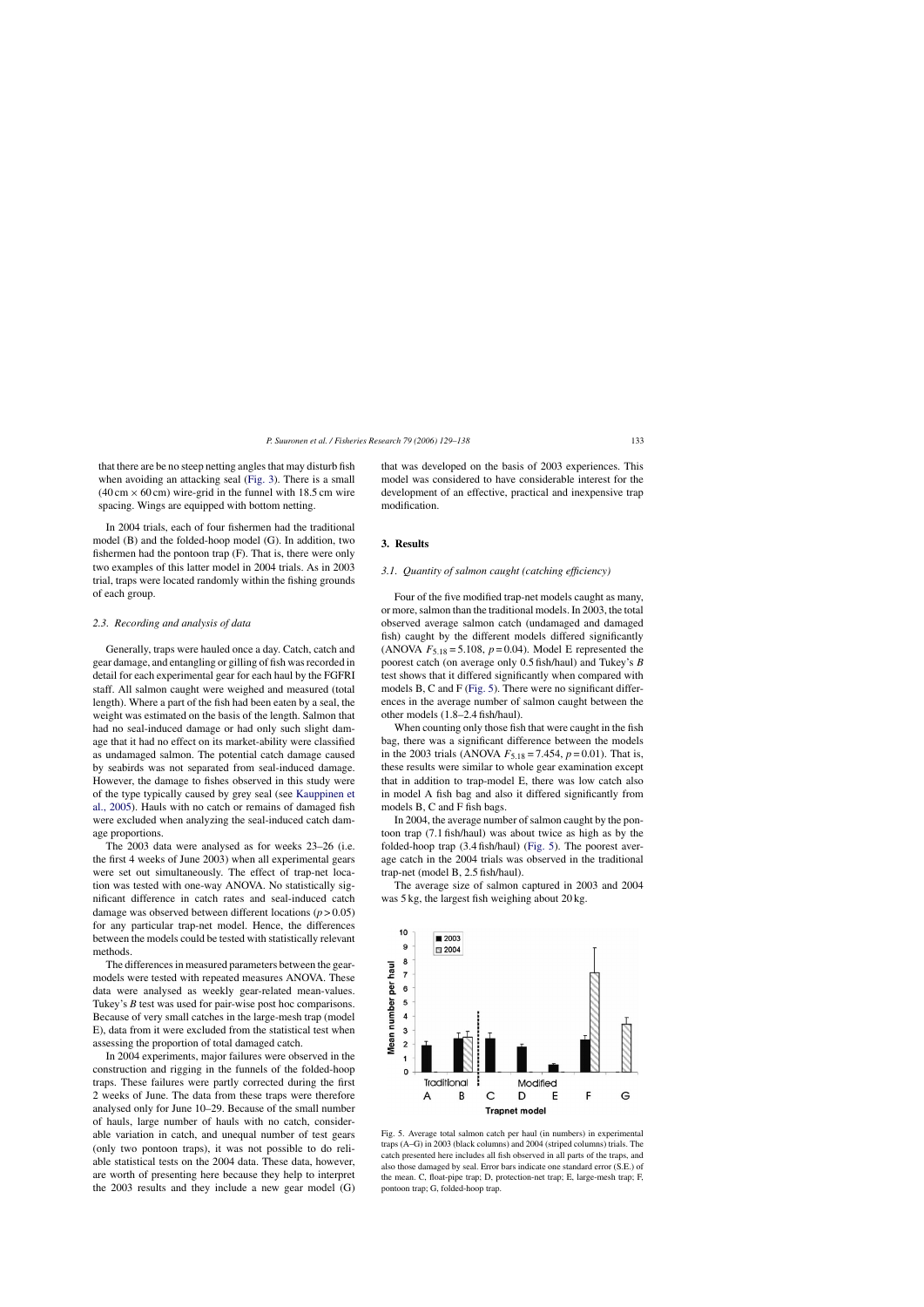In 2004 trials, each of four fishermen had the traditional model (B) and the folded-hoop model (G). In addition, two fishermen had the pontoon trap (F). That is, there were only two examples of this latter model in 2004 trials. As in 2003 trial, traps were located randomly within the fishing grounds of each group.

#### *2.3. Recording and analysis of data*

Generally, traps were hauled once a day. Catch, catch and gear damage, and entangling or gilling of fish was recorded in detail for each experimental gear for each haul by the FGFRI staff. All salmon caught were weighed and measured (total length). Where a part of the fish had been eaten by a seal, the weight was estimated on the basis of the length. Salmon that had no seal-induced damage or had only such slight damage that it had no effect on its market-ability were classified as undamaged salmon. The potential catch damage caused by seabirds was not separated from seal-induced damage. However, the damage to fishes observed in this study were of the type typically caused by grey seal (see [Kauppinen et](#page-9-0) [al., 2005\).](#page-9-0) Hauls with no catch or remains of damaged fish were excluded when analyzing the seal-induced catch damage proportions.

The 2003 data were analysed as for weeks 23–26 (i.e. the first 4 weeks of June 2003) when all experimental gears were set out simultaneously. The effect of trap-net location was tested with one-way ANOVA. No statistically significant difference in catch rates and seal-induced catch damage was observed between different locations  $(p > 0.05)$ for any particular trap-net model. Hence, the differences between the models could be tested with statistically relevant methods.

The differences in measured parameters between the gearmodels were tested with repeated measures ANOVA. These data were analysed as weekly gear-related mean-values. Tukey's *B* test was used for pair-wise post hoc comparisons. Because of very small catches in the large-mesh trap (model E), data from it were excluded from the statistical test when assessing the proportion of total damaged catch.

In 2004 experiments, major failures were observed in the construction and rigging in the funnels of the folded-hoop traps. These failures were partly corrected during the first 2 weeks of June. The data from these traps were therefore analysed only for June 10–29. Because of the small number of hauls, large number of hauls with no catch, considerable variation in catch, and unequal number of test gears (only two pontoon traps), it was not possible to do reliable statistical tests on the 2004 data. These data, however, are worth of presenting here because they help to interpret the 2003 results and they include a new gear model (G) that was developed on the basis of 2003 experiences. This model was considered to have considerable interest for the development of an effective, practical and inexpensive trap modification.

## **3. Results**

10

#### *3.1. Quantity of salmon caught (catching efficiency)*

Four of the five modified trap-net models caught as many, or more, salmon than the traditional models. In 2003, the total observed average salmon catch (undamaged and damaged fish) caught by the different models differed significantly (ANOVA  $F_{5.18} = 5.108$ ,  $p = 0.04$ ). Model E represented the poorest catch (on average only 0.5 fish/haul) and Tukey's *B* test shows that it differed significantly when compared with models B, C and F (Fig. 5). There were no significant differences in the average number of salmon caught between the other models (1.8–2.4 fish/haul).

When counting only those fish that were caught in the fish bag, there was a significant difference between the models in the 2003 trials (ANOVA  $F_{5.18} = 7.454$ ,  $p = 0.01$ ). That is, these results were similar to whole gear examination except that in addition to trap-model E, there was low catch also in model A fish bag and also it differed significantly from models B, C and F fish bags.

In 2004, the average number of salmon caught by the pontoon trap (7.1 fish/haul) was about twice as high as by the folded-hoop trap (3.4 fish/haul) (Fig. 5). The poorest average catch in the 2004 trials was observed in the traditional trap-net (model B, 2.5 fish/haul).

The average size of salmon captured in 2003 and 2004 was 5 kg, the largest fish weighing about 20 kg.



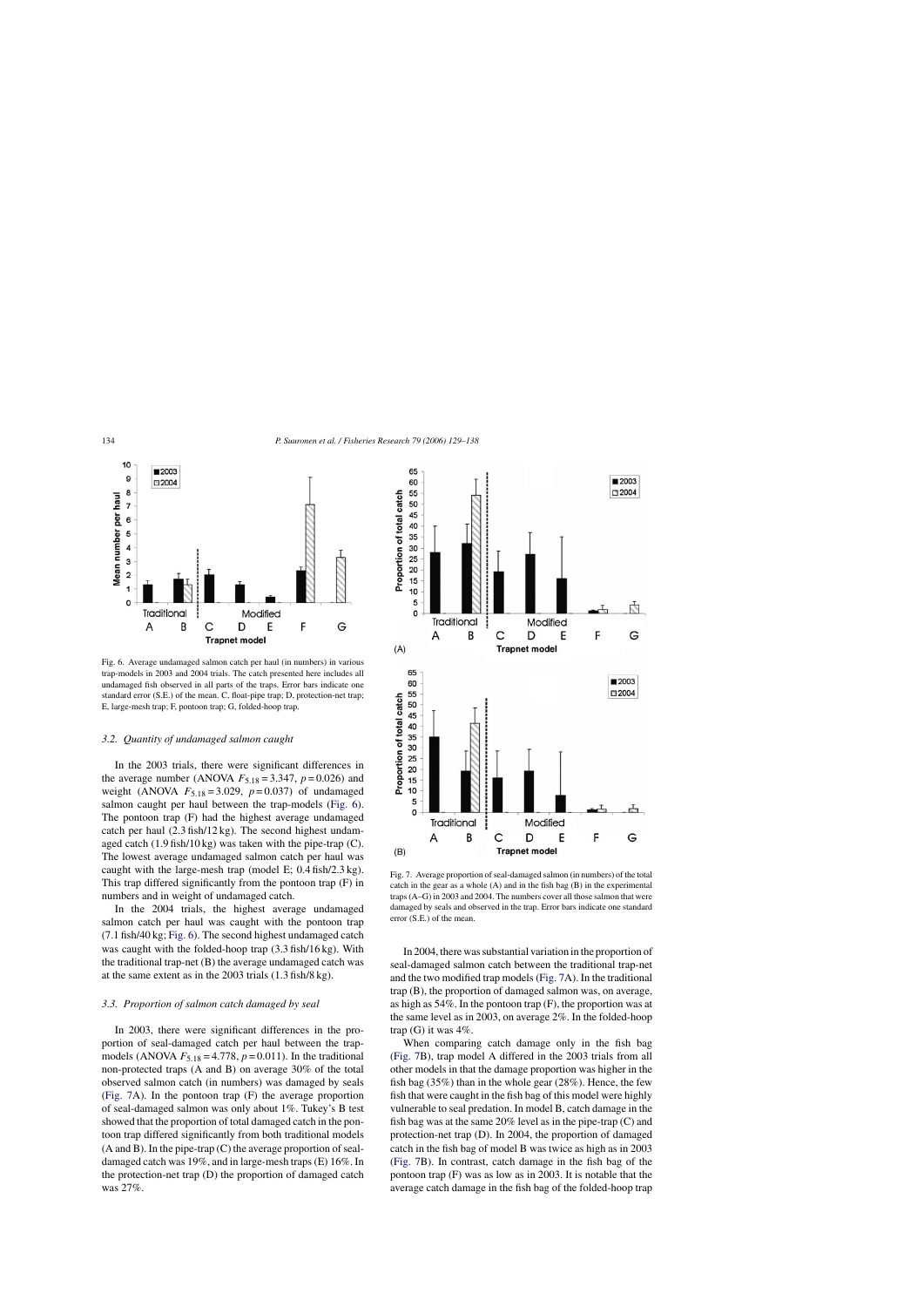

Fig. 6. Average undamaged salmon catch per haul (in numbers) in various trap-models in 2003 and 2004 trials. The catch presented here includes all undamaged fish observed in all parts of the traps. Error bars indicate one standard error (S.E.) of the mean. C, float-pipe trap; D, protection-net trap; E, large-mesh trap; F, pontoon trap; G, folded-hoop trap.

#### *3.2. Quantity of undamaged salmon caught*

In the 2003 trials, there were significant differences in the average number (ANOVA  $F_{5.18} = 3.347$ ,  $p = 0.026$ ) and weight (ANOVA  $F_{5,18} = 3.029$ ,  $p = 0.037$ ) of undamaged salmon caught per haul between the trap-models (Fig. 6). The pontoon trap (F) had the highest average undamaged catch per haul (2.3 fish/12 kg). The second highest undamaged catch (1.9 fish/10 kg) was taken with the pipe-trap (C). The lowest average undamaged salmon catch per haul was caught with the large-mesh trap (model E; 0.4 fish/2.3 kg). This trap differed significantly from the pontoon trap (F) in numbers and in weight of undamaged catch.

In the 2004 trials, the highest average undamaged salmon catch per haul was caught with the pontoon trap (7.1 fish/40 kg; Fig. 6). The second highest undamaged catch was caught with the folded-hoop trap (3.3 fish/16 kg). With the traditional trap-net (B) the average undamaged catch was at the same extent as in the 2003 trials (1.3 fish/8 kg).

#### *3.3. Proportion of salmon catch damaged by seal*

In 2003, there were significant differences in the proportion of seal-damaged catch per haul between the trapmodels (ANOVA  $F_{5.18} = 4.778$ ,  $p = 0.011$ ). In the traditional non-protected traps (A and B) on average 30% of the total observed salmon catch (in numbers) was damaged by seals (Fig. 7A). In the pontoon trap (F) the average proportion of seal-damaged salmon was only about 1%. Tukey's B test showed that the proportion of total damaged catch in the pontoon trap differed significantly from both traditional models  $(A \text{ and } B)$ . In the pipe-trap  $(C)$  the average proportion of sealdamaged catch was 19%, and in large-mesh traps (E) 16%. In the protection-net trap (D) the proportion of damaged catch was 27%.



Fig. 7. Average proportion of seal-damaged salmon (in numbers) of the total catch in the gear as a whole (A) and in the fish bag (B) in the experimental traps (A–G) in 2003 and 2004. The numbers cover all those salmon that were damaged by seals and observed in the trap. Error bars indicate one standard error (S.E.) of the mean.

In 2004, there was substantial variation in the proportion of seal-damaged salmon catch between the traditional trap-net and the two modified trap models (Fig. 7A). In the traditional trap (B), the proportion of damaged salmon was, on average, as high as 54%. In the pontoon trap (F), the proportion was at the same level as in 2003, on average 2%. In the folded-hoop trap  $(G)$  it was  $4\%$ .

When comparing catch damage only in the fish bag (Fig. 7B), trap model A differed in the 2003 trials from all other models in that the damage proportion was higher in the fish bag (35%) than in the whole gear (28%). Hence, the few fish that were caught in the fish bag of this model were highly vulnerable to seal predation. In model B, catch damage in the fish bag was at the same 20% level as in the pipe-trap (C) and protection-net trap (D). In 2004, the proportion of damaged catch in the fish bag of model B was twice as high as in 2003 (Fig. 7B). In contrast, catch damage in the fish bag of the pontoon trap (F) was as low as in 2003. It is notable that the average catch damage in the fish bag of the folded-hoop trap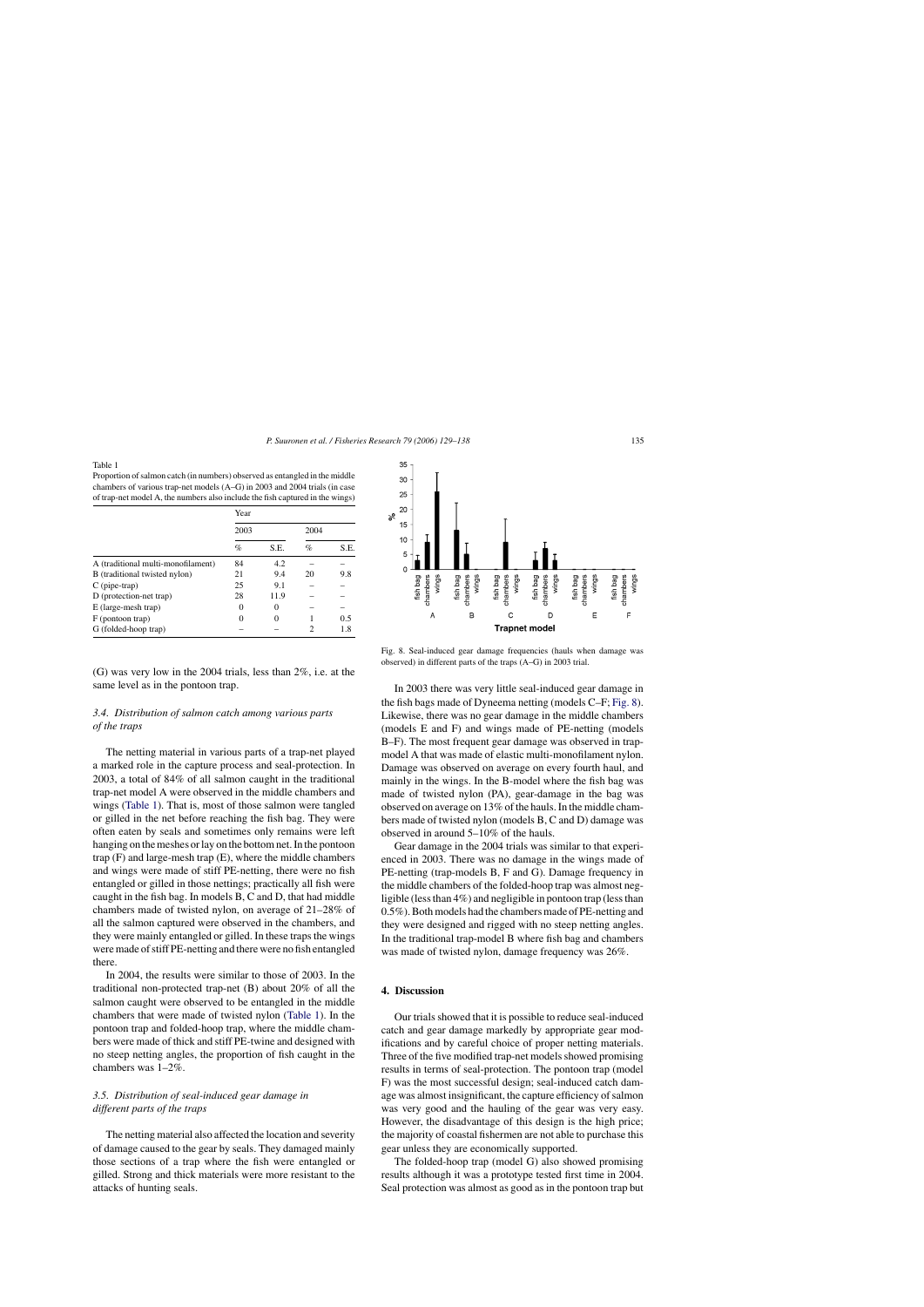### Table 1

Proportion of salmon catch (in numbers) observed as entangled in the middle chambers of various trap-net models (A–G) in 2003 and 2004 trials (in case of trap-net model A, the numbers also include the fish captured in the wings)

|                                    | Year |          |      |      |
|------------------------------------|------|----------|------|------|
|                                    | 2003 |          | 2004 |      |
|                                    | $\%$ | S.E.     | $\%$ | S.E. |
| A (traditional multi-monofilament) | 84   | 4.2      |      |      |
| B (traditional twisted nylon)      | 21   | 9.4      | 20   | 9.8  |
| $C$ (pipe-trap)                    | 25   | 9.1      |      |      |
| D (protection-net trap)            | 28   | 11.9     |      |      |
| E (large-mesh trap)                | 0    | $\Omega$ |      |      |
| $F$ (pontoon trap)                 | 0    | 0        |      | 0.5  |
| G (folded-hoop trap)               |      |          | 2    | 1.8  |

(G) was very low in the 2004 trials, less than 2%, i.e. at the same level as in the pontoon trap.

# *3.4. Distribution of salmon catch among various parts of the traps*

The netting material in various parts of a trap-net played a marked role in the capture process and seal-protection. In 2003, a total of 84% of all salmon caught in the traditional trap-net model A were observed in the middle chambers and wings (Table 1). That is, most of those salmon were tangled or gilled in the net before reaching the fish bag. They were often eaten by seals and sometimes only remains were left hanging on the meshes or lay on the bottom net. In the pontoon trap (F) and large-mesh trap (E), where the middle chambers and wings were made of stiff PE-netting, there were no fish entangled or gilled in those nettings; practically all fish were caught in the fish bag. In models B, C and D, that had middle chambers made of twisted nylon, on average of 21–28% of all the salmon captured were observed in the chambers, and they were mainly entangled or gilled. In these traps the wings were made of stiff PE-netting and there were no fish entangled there.

In 2004, the results were similar to those of 2003. In the traditional non-protected trap-net (B) about 20% of all the salmon caught were observed to be entangled in the middle chambers that were made of twisted nylon (Table 1). In the pontoon trap and folded-hoop trap, where the middle chambers were made of thick and stiff PE-twine and designed with no steep netting angles, the proportion of fish caught in the chambers was 1–2%.

# *3.5. Distribution of seal-induced gear damage in different parts of the traps*

The netting material also affected the location and severity of damage caused to the gear by seals. They damaged mainly those sections of a trap where the fish were entangled or gilled. Strong and thick materials were more resistant to the attacks of hunting seals.



Fig. 8. Seal-induced gear damage frequencies (hauls when damage was observed) in different parts of the traps (A–G) in 2003 trial.

In 2003 there was very little seal-induced gear damage in the fish bags made of Dyneema netting (models C–F; Fig. 8). Likewise, there was no gear damage in the middle chambers (models E and F) and wings made of PE-netting (models B–F). The most frequent gear damage was observed in trapmodel A that was made of elastic multi-monofilament nylon. Damage was observed on average on every fourth haul, and mainly in the wings. In the B-model where the fish bag was made of twisted nylon (PA), gear-damage in the bag was observed on average on 13% of the hauls. In the middle chambers made of twisted nylon (models B, C and D) damage was observed in around 5–10% of the hauls.

Gear damage in the 2004 trials was similar to that experienced in 2003. There was no damage in the wings made of PE-netting (trap-models B, F and G). Damage frequency in the middle chambers of the folded-hoop trap was almost negligible (less than 4%) and negligible in pontoon trap (less than 0.5%). Both models had the chambers made of PE-netting and they were designed and rigged with no steep netting angles. In the traditional trap-model B where fish bag and chambers was made of twisted nylon, damage frequency was 26%.

# **4. Discussion**

Our trials showed that it is possible to reduce seal-induced catch and gear damage markedly by appropriate gear modifications and by careful choice of proper netting materials. Three of the five modified trap-net models showed promising results in terms of seal-protection. The pontoon trap (model F) was the most successful design; seal-induced catch damage was almost insignificant, the capture efficiency of salmon was very good and the hauling of the gear was very easy. However, the disadvantage of this design is the high price; the majority of coastal fishermen are not able to purchase this gear unless they are economically supported.

The folded-hoop trap (model G) also showed promising results although it was a prototype tested first time in 2004. Seal protection was almost as good as in the pontoon trap but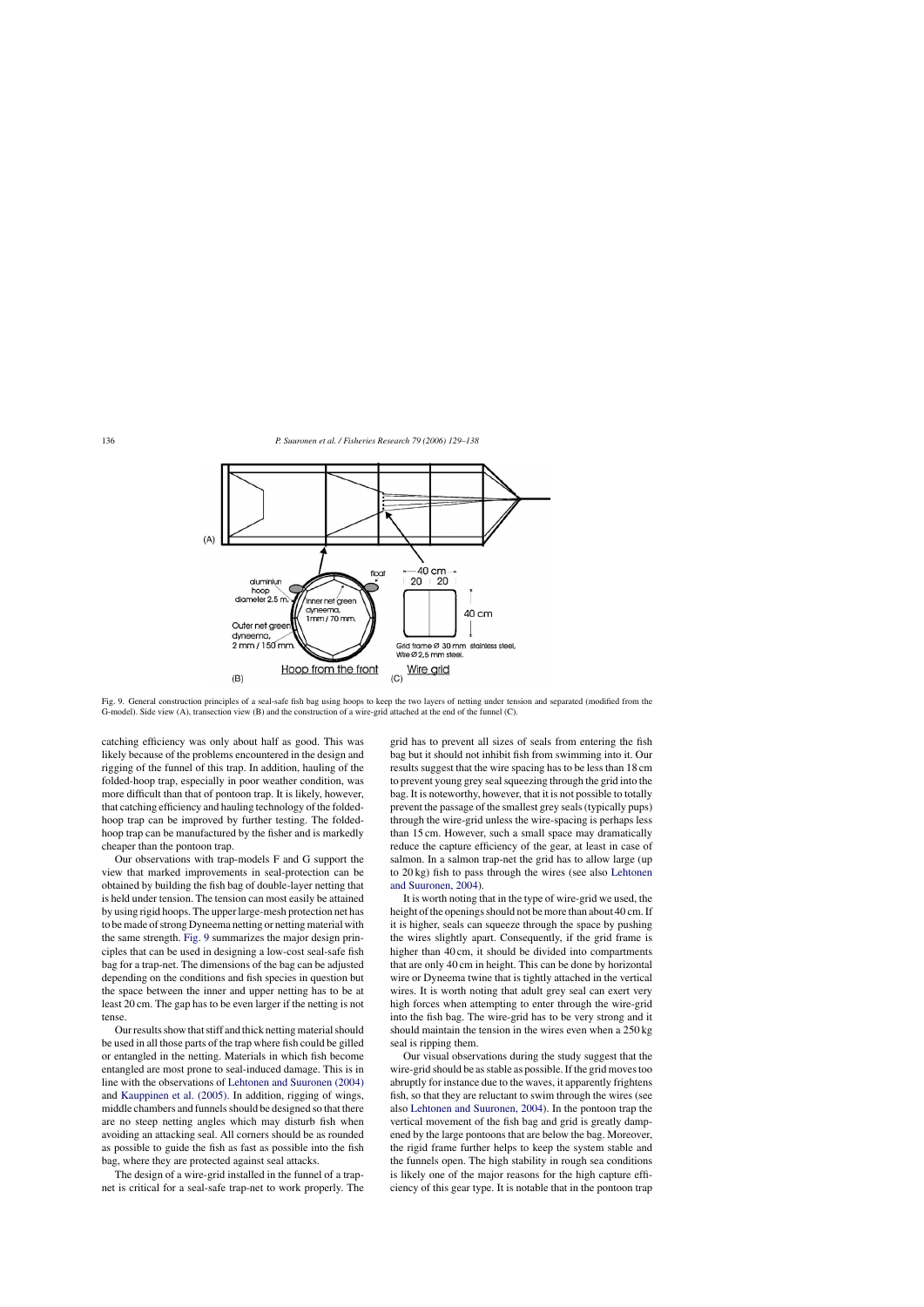

Fig. 9. General construction principles of a seal-safe fish bag using hoops to keep the two layers of netting under tension and separated (modified from the G-model). Side view (A), transection view (B) and the construction of a wire-grid attached at the end of the funnel (C).

catching efficiency was only about half as good. This was likely because of the problems encountered in the design and rigging of the funnel of this trap. In addition, hauling of the folded-hoop trap, especially in poor weather condition, was more difficult than that of pontoon trap. It is likely, however, that catching efficiency and hauling technology of the foldedhoop trap can be improved by further testing. The foldedhoop trap can be manufactured by the fisher and is markedly cheaper than the pontoon trap.

Our observations with trap-models F and G support the view that marked improvements in seal-protection can be obtained by building the fish bag of double-layer netting that is held under tension. The tension can most easily be attained by using rigid hoops. The upper large-mesh protection net has to be made of strong Dyneema netting or netting material with the same strength. Fig. 9 summarizes the major design principles that can be used in designing a low-cost seal-safe fish bag for a trap-net. The dimensions of the bag can be adjusted depending on the conditions and fish species in question but the space between the inner and upper netting has to be at least 20 cm. The gap has to be even larger if the netting is not tense.

Our results show that stiff and thick netting material should be used in all those parts of the trap where fish could be gilled or entangled in the netting. Materials in which fish become entangled are most prone to seal-induced damage. This is in line with the observations of [Lehtonen and Suuronen \(2004\)](#page-9-0) and [Kauppinen et al. \(2005\).](#page-9-0) In addition, rigging of wings, middle chambers and funnels should be designed so that there are no steep netting angles which may disturb fish when avoiding an attacking seal. All corners should be as rounded as possible to guide the fish as fast as possible into the fish bag, where they are protected against seal attacks.

The design of a wire-grid installed in the funnel of a trapnet is critical for a seal-safe trap-net to work properly. The grid has to prevent all sizes of seals from entering the fish bag but it should not inhibit fish from swimming into it. Our results suggest that the wire spacing has to be less than 18 cm to prevent young grey seal squeezing through the grid into the bag. It is noteworthy, however, that it is not possible to totally prevent the passage of the smallest grey seals (typically pups) through the wire-grid unless the wire-spacing is perhaps less than 15 cm. However, such a small space may dramatically reduce the capture efficiency of the gear, at least in case of salmon. In a salmon trap-net the grid has to allow large (up to 20 kg) fish to pass through the wires (see also [Lehtonen](#page-9-0) [and Suuronen, 2004\).](#page-9-0)

It is worth noting that in the type of wire-grid we used, the height of the openings should not be more than about 40 cm. If it is higher, seals can squeeze through the space by pushing the wires slightly apart. Consequently, if the grid frame is higher than 40 cm, it should be divided into compartments that are only 40 cm in height. This can be done by horizontal wire or Dyneema twine that is tightly attached in the vertical wires. It is worth noting that adult grey seal can exert very high forces when attempting to enter through the wire-grid into the fish bag. The wire-grid has to be very strong and it should maintain the tension in the wires even when a 250 kg seal is ripping them.

Our visual observations during the study suggest that the wire-grid should be as stable as possible. If the grid moves too abruptly for instance due to the waves, it apparently frightens fish, so that they are reluctant to swim through the wires (see also [Lehtonen and Suuronen, 2004\).](#page-9-0) In the pontoon trap the vertical movement of the fish bag and grid is greatly dampened by the large pontoons that are below the bag. Moreover, the rigid frame further helps to keep the system stable and the funnels open. The high stability in rough sea conditions is likely one of the major reasons for the high capture efficiency of this gear type. It is notable that in the pontoon trap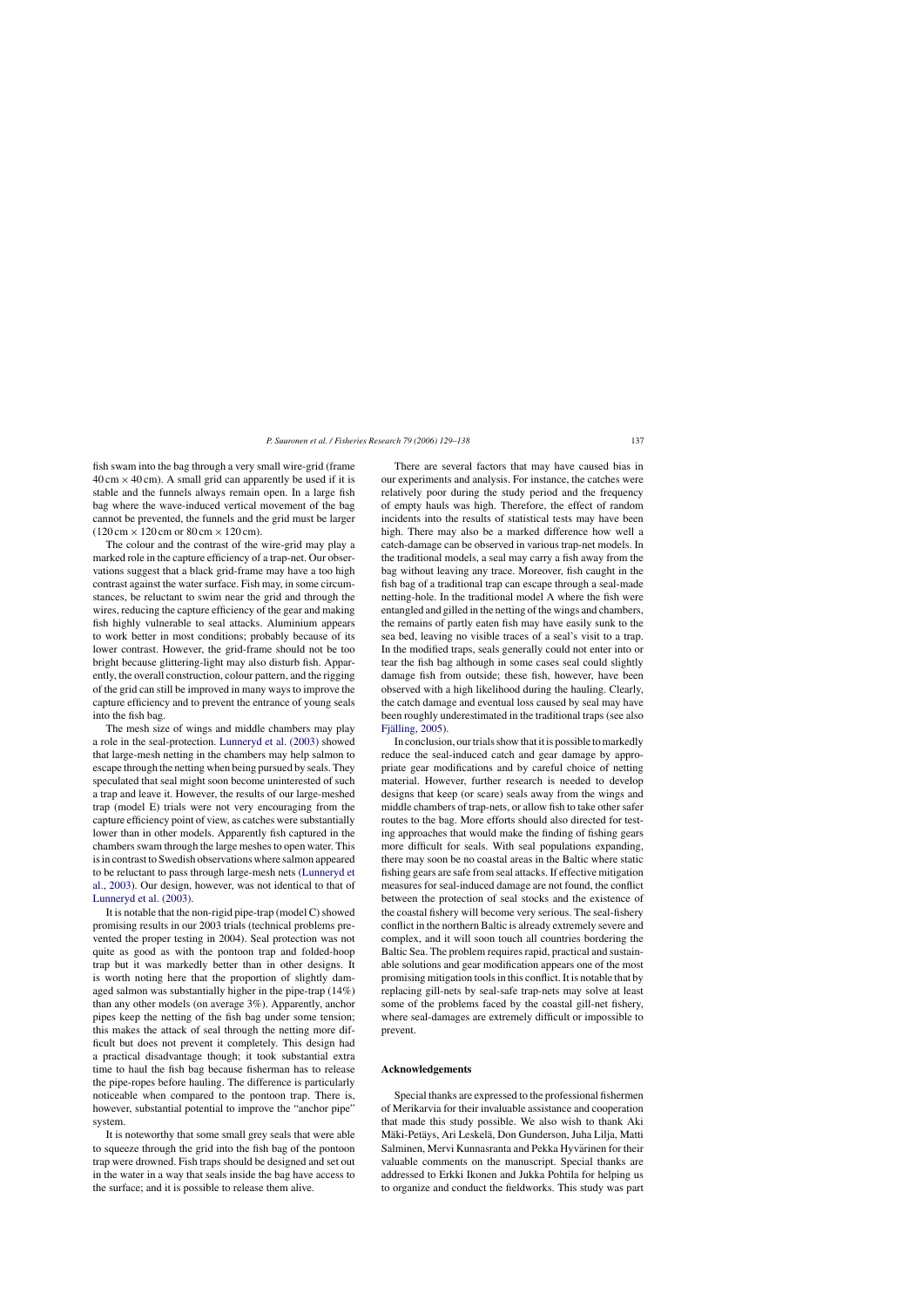fish swam into the bag through a very small wire-grid (frame  $40 \text{ cm} \times 40 \text{ cm}$ ). A small grid can apparently be used if it is stable and the funnels always remain open. In a large fish bag where the wave-induced vertical movement of the bag cannot be prevented, the funnels and the grid must be larger  $(120 \text{ cm} \times 120 \text{ cm} \text{ or } 80 \text{ cm} \times 120 \text{ cm}).$ 

The colour and the contrast of the wire-grid may play a marked role in the capture efficiency of a trap-net. Our observations suggest that a black grid-frame may have a too high contrast against the water surface. Fish may, in some circumstances, be reluctant to swim near the grid and through the wires, reducing the capture efficiency of the gear and making fish highly vulnerable to seal attacks. Aluminium appears to work better in most conditions; probably because of its lower contrast. However, the grid-frame should not be too bright because glittering-light may also disturb fish. Apparently, the overall construction, colour pattern, and the rigging of the grid can still be improved in many ways to improve the capture efficiency and to prevent the entrance of young seals into the fish bag.

The mesh size of wings and middle chambers may play a role in the seal-protection. [Lunneryd et al. \(2003\)](#page-9-0) showed that large-mesh netting in the chambers may help salmon to escape through the netting when being pursued by seals. They speculated that seal might soon become uninterested of such a trap and leave it. However, the results of our large-meshed trap (model E) trials were not very encouraging from the capture efficiency point of view, as catches were substantially lower than in other models. Apparently fish captured in the chambers swam through the large meshes to open water. This is in contrast to Swedish observations where salmon appeared to be reluctant to pass through large-mesh nets [\(Lunneryd et](#page-9-0) [al., 2003\).](#page-9-0) Our design, however, was not identical to that of [Lunneryd et al. \(2003\).](#page-9-0)

It is notable that the non-rigid pipe-trap (model C) showed promising results in our 2003 trials (technical problems prevented the proper testing in 2004). Seal protection was not quite as good as with the pontoon trap and folded-hoop trap but it was markedly better than in other designs. It is worth noting here that the proportion of slightly damaged salmon was substantially higher in the pipe-trap (14%) than any other models (on average 3%). Apparently, anchor pipes keep the netting of the fish bag under some tension; this makes the attack of seal through the netting more difficult but does not prevent it completely. This design had a practical disadvantage though; it took substantial extra time to haul the fish bag because fisherman has to release the pipe-ropes before hauling. The difference is particularly noticeable when compared to the pontoon trap. There is, however, substantial potential to improve the "anchor pipe" system.

It is noteworthy that some small grey seals that were able to squeeze through the grid into the fish bag of the pontoon trap were drowned. Fish traps should be designed and set out in the water in a way that seals inside the bag have access to the surface; and it is possible to release them alive.

There are several factors that may have caused bias in our experiments and analysis. For instance, the catches were relatively poor during the study period and the frequency of empty hauls was high. Therefore, the effect of random incidents into the results of statistical tests may have been high. There may also be a marked difference how well a catch-damage can be observed in various trap-net models. In the traditional models, a seal may carry a fish away from the bag without leaving any trace. Moreover, fish caught in the fish bag of a traditional trap can escape through a seal-made netting-hole. In the traditional model A where the fish were entangled and gilled in the netting of the wings and chambers, the remains of partly eaten fish may have easily sunk to the sea bed, leaving no visible traces of a seal's visit to a trap. In the modified traps, seals generally could not enter into or tear the fish bag although in some cases seal could slightly damage fish from outside; these fish, however, have been observed with a high likelihood during the hauling. Clearly, the catch damage and eventual loss caused by seal may have been roughly underestimated in the traditional traps (see also Fiälling, 2005).

In conclusion, our trials show that it is possible to markedly reduce the seal-induced catch and gear damage by appropriate gear modifications and by careful choice of netting material. However, further research is needed to develop designs that keep (or scare) seals away from the wings and middle chambers of trap-nets, or allow fish to take other safer routes to the bag. More efforts should also directed for testing approaches that would make the finding of fishing gears more difficult for seals. With seal populations expanding, there may soon be no coastal areas in the Baltic where static fishing gears are safe from seal attacks. If effective mitigation measures for seal-induced damage are not found, the conflict between the protection of seal stocks and the existence of the coastal fishery will become very serious. The seal-fishery conflict in the northern Baltic is already extremely severe and complex, and it will soon touch all countries bordering the Baltic Sea. The problem requires rapid, practical and sustainable solutions and gear modification appears one of the most promising mitigation tools in this conflict. It is notable that by replacing gill-nets by seal-safe trap-nets may solve at least some of the problems faced by the coastal gill-net fishery, where seal-damages are extremely difficult or impossible to prevent.

#### **Acknowledgements**

Special thanks are expressed to the professional fishermen of Merikarvia for their invaluable assistance and cooperation that made this study possible. We also wish to thank Aki Mäki-Petäys, Ari Leskelä, Don Gunderson, Juha Lilja, Matti Salminen, Mervi Kunnasranta and Pekka Hyvärinen for their valuable comments on the manuscript. Special thanks are addressed to Erkki Ikonen and Jukka Pohtila for helping us to organize and conduct the fieldworks. This study was part